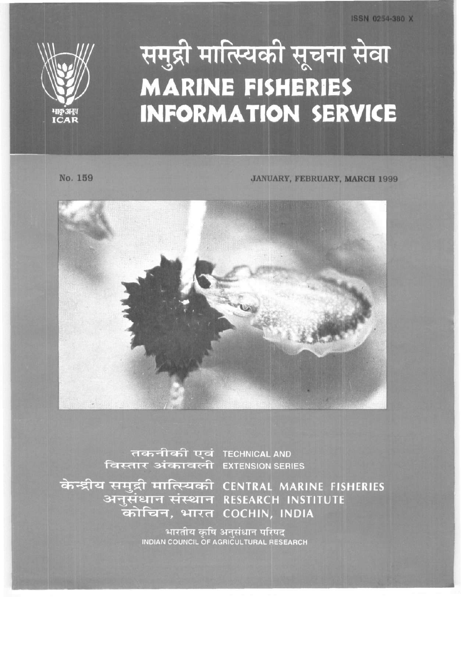

## समुद्री मात्स्यिकी सूचना सेवा **MARINE FISHERIES INFORMATION SERVICE**

No. 159 JANUARY, FEBRUARY, MARCH 1999



तकनीकी एवं TECHNICAL AND विस्तार अंकावली EXTENSION SERIES

केन्द्रीय समुद्री मात्स्यिकी CENTRAL MARINE FISHERIES कोचिन, भारत COCHIN, INDIA

अनुसंधान संस्थान RESEARCH INSTITUTE

भारतीय कृषि अनुसंधान परिषद INDIAN COUNCIL OF AGRICULTURAL RESEARCH